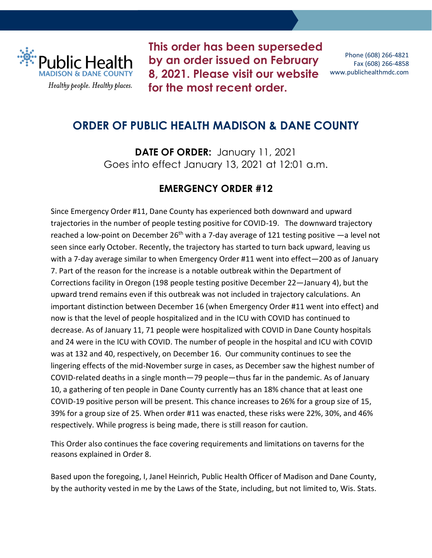

**This order has been superseded by an order issued on February 8, 2021. [Please visit our website](https://publichealthmdc.com/coronavirus/forward-dane/current-order) for the most recent order.**

Phone (608) 266-4821 Fax (608) 266-4858 www.publichealthmdc.com

# **ORDER OF PUBLIC HEALTH MADISON & DANE COUNTY**

**DATE OF ORDER:** January 11, 2021 Goes into effect January 13, 2021 at 12:01 a.m.

## **EMERGENCY ORDER #12**

Since Emergency Order #11, Dane County has experienced both downward and upward trajectories in the number of people testing positive for COVID-19. The downward trajectory reached a low-point on December 26<sup>th</sup> with a 7-day average of 121 testing positive  $-a$  level not seen since early October. Recently, the trajectory has started to turn back upward, leaving us with a 7-day average similar to when Emergency Order #11 went into effect—200 as of January 7. Part of the reason for the increase is a notable outbreak within the Department of Corrections facility in Oregon (198 people testing positive December 22—January 4), but the upward trend remains even if this outbreak was not included in trajectory calculations. An important distinction between December 16 (when Emergency Order #11 went into effect) and now is that the level of people hospitalized and in the ICU with COVID has continued to decrease. As of January 11, 71 people were hospitalized with COVID in Dane County hospitals and 24 were in the ICU with COVID. The number of people in the hospital and ICU with COVID was at 132 and 40, respectively, on December 16. Our community continues to see the lingering effects of the mid-November surge in cases, as December saw the highest number of COVID-related deaths in a single month—79 people—thus far in the pandemic. As of January 10, a gathering of ten people in Dane County currently has an 18% chance that at least one COVID-19 positive person will be present. This chance increases to 26% for a group size of 15, 39% for a group size of 25. When order #11 was enacted, these risks were 22%, 30%, and 46% respectively. While progress is being made, there is still reason for caution.

This Order also continues the face covering requirements and limitations on taverns for the reasons explained in Order 8.

Based upon the foregoing, I, Janel Heinrich, Public Health Officer of Madison and Dane County, by the authority vested in me by the Laws of the State, including, but not limited to, Wis. Stats.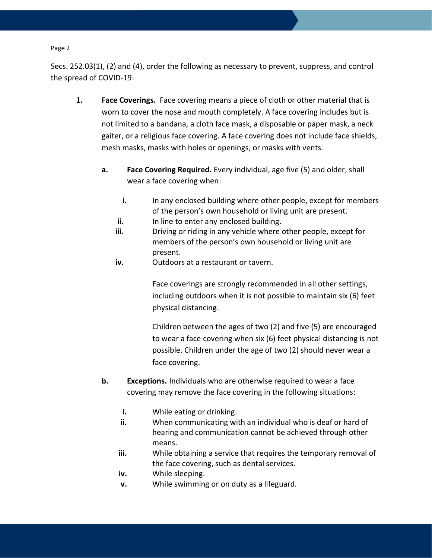Secs. 252.03(1), (2) and (4), order the following as necessary to prevent, suppress, and control the spread of COVID-19:

- **1. Face Coverings.** Face covering means a piece of cloth or other material that is worn to cover the nose and mouth completely. A face covering includes but is not limited to a bandana, a cloth face mask, a disposable or paper mask, a neck gaiter, or a religious face covering. A face covering does not include face shields, mesh masks, masks with holes or openings, or masks with vents.
	- **a. Face Covering Required.** Every individual, age five (5) and older, shall wear a face covering when:
		- **i.** In any enclosed building where other people, except for members of the person's own household or living unit are present.
		- **ii.** In line to enter any enclosed building.
		- **iii.** Driving or riding in any vehicle where other people, except for members of the person's own household or living unit are present.
		- **iv.** Outdoors at a restaurant or tavern.

Face coverings are strongly recommended in all other settings, including outdoors when it is not possible to maintain six (6) feet physical distancing.

Children between the ages of two (2) and five (5) are encouraged to wear a face covering when six (6) feet physical distancing is not possible. Children under the age of two (2) should never wear a face covering.

- **b. Exceptions.** Individuals who are otherwise required to wear a face covering may remove the face covering in the following situations:
	- **i.** While eating or drinking.
	- **ii.** When communicating with an individual who is deaf or hard of hearing and communication cannot be achieved through other means.
	- **iii.** While obtaining a service that requires the temporary removal of the face covering, such as dental services.
	- **iv.** While sleeping.
	- **v.** While swimming or on duty as a lifeguard.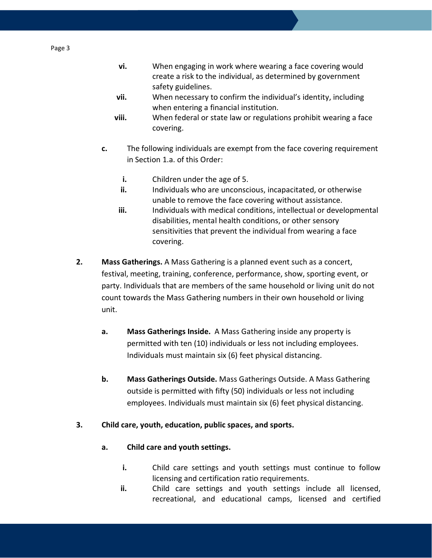- **vi.** When engaging in work where wearing a face covering would create a risk to the individual, as determined by government safety guidelines.
- **vii.** When necessary to confirm the individual's identity, including when entering a financial institution.
- **viii.** When federal or state law or regulations prohibit wearing a face covering.
- **c.** The following individuals are exempt from the face covering requirement in Section 1.a. of this Order:
	- **i.** Children under the age of 5.
	- **ii.** Individuals who are unconscious, incapacitated, or otherwise unable to remove the face covering without assistance.
	- **iii.** Individuals with medical conditions, intellectual or developmental disabilities, mental health conditions, or other sensory sensitivities that prevent the individual from wearing a face covering.
- **2. Mass Gatherings.** A Mass Gathering is a planned event such as a concert, festival, meeting, training, conference, performance, show, sporting event, or party. Individuals that are members of the same household or living unit do not count towards the Mass Gathering numbers in their own household or living unit.
	- **a. Mass Gatherings Inside.** A Mass Gathering inside any property is permitted with ten (10) individuals or less not including employees. Individuals must maintain six (6) feet physical distancing.
	- **b. Mass Gatherings Outside.** Mass Gatherings Outside. A Mass Gathering outside is permitted with fifty (50) individuals or less not including employees. Individuals must maintain six (6) feet physical distancing.

## **3. Child care, youth, education, public spaces, and sports.**

- **a. Child care and youth settings.**
	- **i.** Child care settings and youth settings must continue to follow licensing and certification ratio requirements.
	- **ii.** Child care settings and youth settings include all licensed, recreational, and educational camps, licensed and certified

Page 3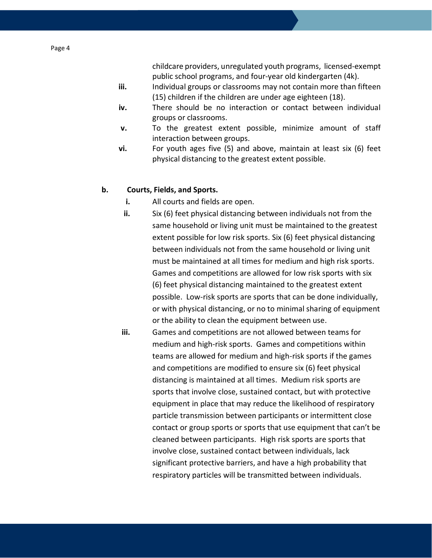childcare providers, unregulated youth programs, licensed-exempt public school programs, and four-year old kindergarten (4k).

- **iii.** Individual groups or classrooms may not contain more than fifteen (15) children if the children are under age eighteen (18).
- **iv.** There should be no interaction or contact between individual groups or classrooms.
- **v.** To the greatest extent possible, minimize amount of staff interaction between groups.
- **vi.** For youth ages five (5) and above, maintain at least six (6) feet physical distancing to the greatest extent possible.

## **b. Courts, Fields, and Sports.**

- **i.** All courts and fields are open.
- **ii.** Six (6) feet physical distancing between individuals not from the same household or living unit must be maintained to the greatest extent possible for low risk sports. Six (6) feet physical distancing between individuals not from the same household or living unit must be maintained at all times for medium and high risk sports. Games and competitions are allowed for low risk sports with six (6) feet physical distancing maintained to the greatest extent possible. Low-risk sports are sports that can be done individually, or with physical distancing, or no to minimal sharing of equipment or the ability to clean the equipment between use.
- **iii.** Games and competitions are not allowed between teams for medium and high-risk sports. Games and competitions within teams are allowed for medium and high-risk sports if the games and competitions are modified to ensure six (6) feet physical distancing is maintained at all times. Medium risk sports are sports that involve close, sustained contact, but with protective equipment in place that may reduce the likelihood of respiratory particle transmission between participants or intermittent close contact or group sports or sports that use equipment that can't be cleaned between participants. High risk sports are sports that involve close, sustained contact between individuals, lack significant protective barriers, and have a high probability that respiratory particles will be transmitted between individuals.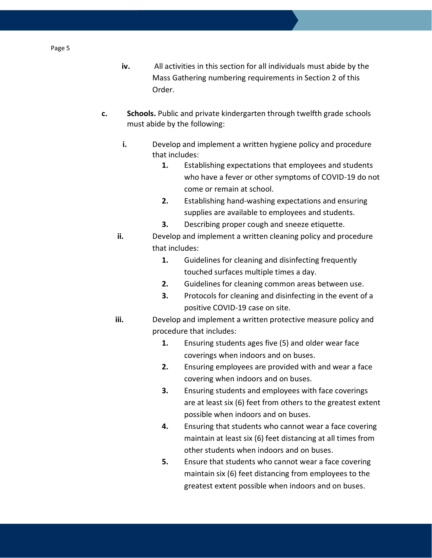- **iv.** All activities in this section for all individuals must abide by the Mass Gathering numbering requirements in Section 2 of this Order.
- **c. Schools.** Public and private kindergarten through twelfth grade schools must abide by the following:
	- **i.** Develop and implement a written hygiene policy and procedure that includes:
		- **1.** Establishing expectations that employees and students who have a fever or other symptoms of COVID-19 do not come or remain at school.
		- **2.** Establishing hand-washing expectations and ensuring supplies are available to employees and students.
		- **3.** Describing proper cough and sneeze etiquette.
	- **ii.** Develop and implement a written cleaning policy and procedure that includes:
		- **1.** Guidelines for cleaning and disinfecting frequently touched surfaces multiple times a day.
		- **2.** Guidelines for cleaning common areas between use.
		- **3.** Protocols for cleaning and disinfecting in the event of a positive COVID-19 case on site.
	- **iii.** Develop and implement a written protective measure policy and procedure that includes:
		- **1.** Ensuring students ages five (5) and older wear face coverings when indoors and on buses.
		- **2.** Ensuring employees are provided with and wear a face covering when indoors and on buses.
		- **3.** Ensuring students and employees with face coverings are at least six (6) feet from others to the greatest extent possible when indoors and on buses.
		- **4.** Ensuring that students who cannot wear a face covering maintain at least six (6) feet distancing at all times from other students when indoors and on buses.
		- **5.** Ensure that students who cannot wear a face covering maintain six (6) feet distancing from employees to the greatest extent possible when indoors and on buses.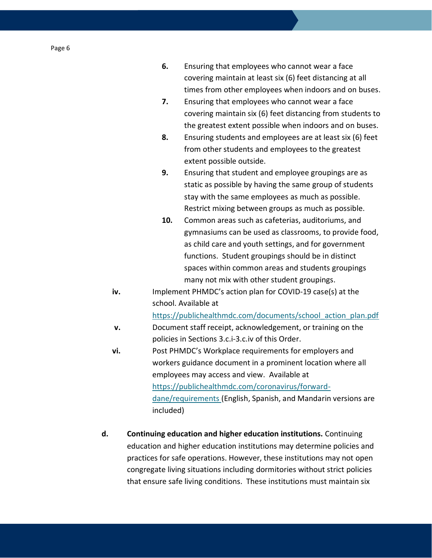| 6. | Ensuring that employees who cannot wear a face            |
|----|-----------------------------------------------------------|
|    | covering maintain at least six (6) feet distancing at all |
|    | times from other employees when indoors and on buses.     |

- **7.** Ensuring that employees who cannot wear a face covering maintain six (6) feet distancing from students to the greatest extent possible when indoors and on buses.
- **8.** Ensuring students and employees are at least six (6) feet from other students and employees to the greatest extent possible outside.
- **9.** Ensuring that student and employee groupings are as static as possible by having the same group of students stay with the same employees as much as possible. Restrict mixing between groups as much as possible.
- **10.** Common areas such as cafeterias, auditoriums, and gymnasiums can be used as classrooms, to provide food, as child care and youth settings, and for government functions. Student groupings should be in distinct spaces within common areas and students groupings many not mix with other student groupings.
- **iv.** Implement PHMDC's action plan for COVID-19 case(s) at the school. Available at

[https://publichealthmdc.com/documents/school\\_action\\_plan.pdf](https://publichealthmdc.com/documents/school_action_plan.pdf)

- **v.** Document staff receipt, acknowledgement, or training on the policies in Sections 3.c.i-3.c.iv of this Order.
- **vi.** Post PHMDC's Workplace requirements for employers and workers guidance document in a prominent location where all employees may access and view. Available at [https://publichealthmdc.com/coronavirus/forward](https://publichealthmdc.com/coronavirus/forward-dane/requirements)[dane/requirements](https://publichealthmdc.com/coronavirus/forward-dane/requirements) (English, Spanish, and Mandarin versions are included)
- **d. Continuing education and higher education institutions.** Continuing education and higher education institutions may determine policies and practices for safe operations. However, these institutions may not open congregate living situations including dormitories without strict policies that ensure safe living conditions. These institutions must maintain six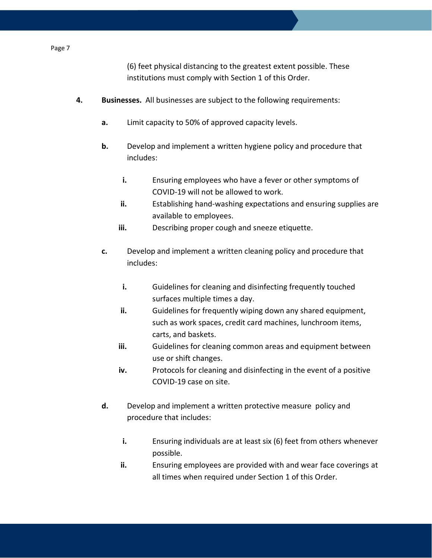(6) feet physical distancing to the greatest extent possible. These institutions must comply with Section 1 of this Order.

- **4. Businesses.** All businesses are subject to the following requirements:
	- **a.** Limit capacity to 50% of approved capacity levels.
	- **b.** Develop and implement a written hygiene policy and procedure that includes:
		- **i.** Ensuring employees who have a fever or other symptoms of COVID-19 will not be allowed to work.
		- **ii.** Establishing hand-washing expectations and ensuring supplies are available to employees.
		- **iii.** Describing proper cough and sneeze etiquette.
	- **c.** Develop and implement a written cleaning policy and procedure that includes:
		- **i.** Guidelines for cleaning and disinfecting frequently touched surfaces multiple times a day.
		- **ii.** Guidelines for frequently wiping down any shared equipment, such as work spaces, credit card machines, lunchroom items, carts, and baskets.
		- **iii.** Guidelines for cleaning common areas and equipment between use or shift changes.
		- iv. Protocols for cleaning and disinfecting in the event of a positive COVID-19 case on site.
	- **d.** Develop and implement a written protective measure policy and procedure that includes:
		- **i.** Ensuring individuals are at least six (6) feet from others whenever possible.
		- **ii.** Ensuring employees are provided with and wear face coverings at all times when required under Section 1 of this Order.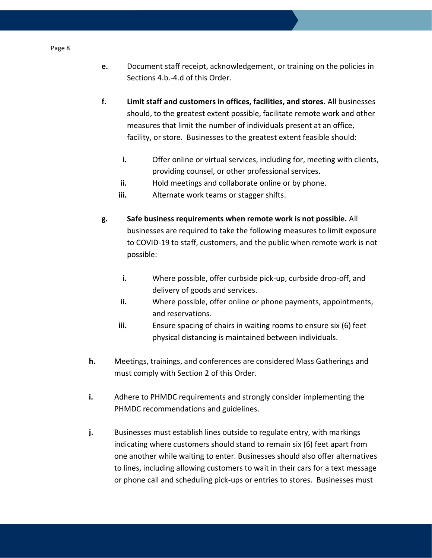- **e.** Document staff receipt, acknowledgement, or training on the policies in Sections 4.b.-4.d of this Order.
- **f. Limit staff and customers in offices, facilities, and stores.** All businesses should, to the greatest extent possible, facilitate remote work and other measures that limit the number of individuals present at an office, facility, or store. Businesses to the greatest extent feasible should:
	- **i.** Offer online or virtual services, including for, meeting with clients, providing counsel, or other professional services.
	- **ii.** Hold meetings and collaborate online or by phone.
	- **iii.** Alternate work teams or stagger shifts.
- **g. Safe business requirements when remote work is not possible.** All businesses are required to take the following measures to limit exposure to COVID-19 to staff, customers, and the public when remote work is not possible:
	- **i.** Where possible, offer curbside pick-up, curbside drop-off, and delivery of goods and services.
	- **ii.** Where possible, offer online or phone payments, appointments, and reservations.
	- **iii.** Ensure spacing of chairs in waiting rooms to ensure six (6) feet physical distancing is maintained between individuals.
- **h.** Meetings, trainings, and conferences are considered Mass Gatherings and must comply with Section 2 of this Order.
- **i.** Adhere to PHMDC requirements and strongly consider implementing the PHMDC recommendations and guidelines.
- **j.** Businesses must establish lines outside to regulate entry, with markings indicating where customers should stand to remain six (6) feet apart from one another while waiting to enter. Businesses should also offer alternatives to lines, including allowing customers to wait in their cars for a text message or phone call and scheduling pick-ups or entries to stores. Businesses must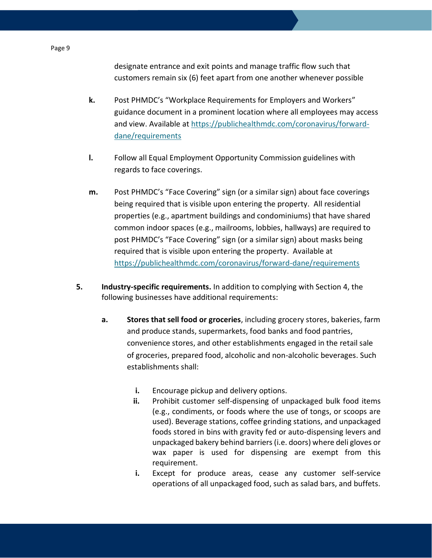designate entrance and exit points and manage traffic flow such that customers remain six (6) feet apart from one another whenever possible

- **k.** Post PHMDC's "Workplace Requirements for Employers and Workers" guidance document in a prominent location where all employees may access and view. Available at [https://publichealthmdc.com/coronavirus/forward](https://publichealthmdc.com/coronavirus/forward-dane/requirements)[dane/requirements](https://publichealthmdc.com/coronavirus/forward-dane/requirements)
- **l.** Follow all Equal Employment Opportunity Commission guidelines with regards to face coverings.
- **m.** Post PHMDC's "Face Covering" sign (or a similar sign) about face coverings being required that is visible upon entering the property. All residential properties (e.g., apartment buildings and condominiums) that have shared common indoor spaces (e.g., mailrooms, lobbies, hallways) are required to post PHMDC's "Face Covering" sign (or a similar sign) about masks being required that is visible upon entering the property. Available at <https://publichealthmdc.com/coronavirus/forward-dane/requirements>
- **5. Industry-specific requirements.** In addition to complying with Section 4, the following businesses have additional requirements:
	- **a. Stores that sell food or groceries**, including grocery stores, bakeries, farm and produce stands, supermarkets, food banks and food pantries, convenience stores, and other establishments engaged in the retail sale of groceries, prepared food, alcoholic and non-alcoholic beverages. Such establishments shall:
		- **i.** Encourage pickup and delivery options.
		- **ii.** Prohibit customer self-dispensing of unpackaged bulk food items (e.g., condiments, or foods where the use of tongs, or scoops are used). Beverage stations, coffee grinding stations, and unpackaged foods stored in bins with gravity fed or auto-dispensing levers and unpackaged bakery behind barriers (i.e. doors) where deli gloves or wax paper is used for dispensing are exempt from this requirement.
		- **i.** Except for produce areas, cease any customer self-service operations of all unpackaged food, such as salad bars, and buffets.

#### Page 9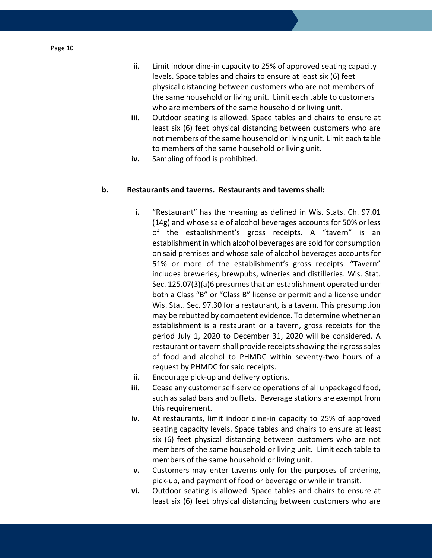- **ii.** Limit indoor dine-in capacity to 25% of approved seating capacity levels. Space tables and chairs to ensure at least six (6) feet physical distancing between customers who are not members of the same household or living unit. Limit each table to customers who are members of the same household or living unit.
- **iii.** Outdoor seating is allowed. Space tables and chairs to ensure at least six (6) feet physical distancing between customers who are not members of the same household or living unit. Limit each table to members of the same household or living unit.
- **iv.** Sampling of food is prohibited.

## **b. Restaurants and taverns. Restaurants and taverns shall:**

- **i.** "Restaurant" has the meaning as defined in Wis. Stats. Ch. 97.01 (14g) and whose sale of alcohol beverages accounts for 50% or less of the establishment's gross receipts. A "tavern" is an establishment in which alcohol beverages are sold for consumption on said premises and whose sale of alcohol beverages accounts for 51% or more of the establishment's gross receipts. "Tavern" includes breweries, brewpubs, wineries and distilleries. Wis. Stat. Sec. 125.07(3)(a)6 presumes that an establishment operated under both a Class "B" or "Class B" license or permit and a license under Wis. Stat. Sec. 97.30 for a restaurant, is a tavern. This presumption may be rebutted by competent evidence. To determine whether an establishment is a restaurant or a tavern, gross receipts for the period July 1, 2020 to December 31, 2020 will be considered. A restaurant or tavern shall provide receipts showing their gross sales of food and alcohol to PHMDC within seventy-two hours of a request by PHMDC for said receipts.
- **ii.** Encourage pick-up and delivery options.
- **iii.** Cease any customer self-service operations of all unpackaged food, such as salad bars and buffets. Beverage stations are exempt from this requirement.
- **iv.** At restaurants, limit indoor dine-in capacity to 25% of approved seating capacity levels. Space tables and chairs to ensure at least six (6) feet physical distancing between customers who are not members of the same household or living unit. Limit each table to members of the same household or living unit.
- **v.** Customers may enter taverns only for the purposes of ordering, pick-up, and payment of food or beverage or while in transit.
- **vi.** Outdoor seating is allowed. Space tables and chairs to ensure at least six (6) feet physical distancing between customers who are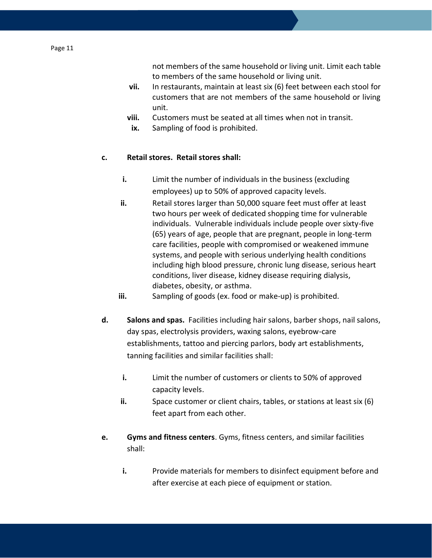- **vii.** In restaurants, maintain at least six (6) feet between each stool for customers that are not members of the same household or living unit.
- **viii.** Customers must be seated at all times when not in transit.
- **ix.** Sampling of food is prohibited.

## **c. Retail stores. Retail stores shall:**

- **i.** Limit the number of individuals in the business (excluding employees) up to 50% of approved capacity levels.
- **ii.** Retail stores larger than 50,000 square feet must offer at least two hours per week of dedicated shopping time for vulnerable individuals. Vulnerable individuals include people over sixty-five (65) years of age, people that are pregnant, people in long-term care facilities, people with compromised or weakened immune systems, and people with serious underlying health conditions including high blood pressure, chronic lung disease, serious heart conditions, liver disease, kidney disease requiring dialysis, diabetes, obesity, or asthma.
- **iii.** Sampling of goods (ex. food or make-up) is prohibited.
- **d. Salons and spas.** Facilities including hair salons, barber shops, nail salons, day spas, electrolysis providers, waxing salons, eyebrow-care establishments, tattoo and piercing parlors, body art establishments, tanning facilities and similar facilities shall:
	- **i.** Limit the number of customers or clients to 50% of approved capacity levels.
	- **ii.** Space customer or client chairs, tables, or stations at least six (6) feet apart from each other.
- **e. Gyms and fitness centers**. Gyms, fitness centers, and similar facilities shall:
	- **i.** Provide materials for members to disinfect equipment before and after exercise at each piece of equipment or station.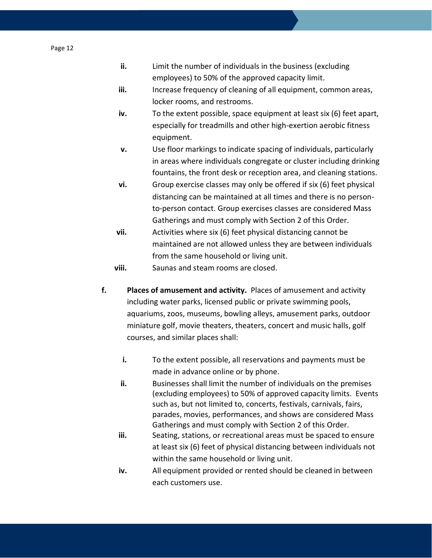- **ii.** Limit the number of individuals in the business (excluding employees) to 50% of the approved capacity limit.
- **iii.** Increase frequency of cleaning of all equipment, common areas, locker rooms, and restrooms.
- **iv.** To the extent possible, space equipment at least six (6) feet apart, especially for treadmills and other high-exertion aerobic fitness equipment.
- **v.** Use floor markings to indicate spacing of individuals, particularly in areas where individuals congregate or cluster including drinking fountains, the front desk or reception area, and cleaning stations.
- **vi.** Group exercise classes may only be offered if six (6) feet physical distancing can be maintained at all times and there is no personto-person contact. Group exercises classes are considered Mass Gatherings and must comply with Section 2 of this Order.
- **vii.** Activities where six (6) feet physical distancing cannot be maintained are not allowed unless they are between individuals from the same household or living unit.

**viii.** Saunas and steam rooms are closed.

- **f. Places of amusement and activity.** Places of amusement and activity including water parks, licensed public or private swimming pools, aquariums, zoos, museums, bowling alleys, amusement parks, outdoor miniature golf, movie theaters, theaters, concert and music halls, golf courses, and similar places shall:
	- **i.** To the extent possible, all reservations and payments must be made in advance online or by phone.
	- **ii.** Businesses shall limit the number of individuals on the premises (excluding employees) to 50% of approved capacity limits. Events such as, but not limited to, concerts, festivals, carnivals, fairs, parades, movies, performances, and shows are considered Mass Gatherings and must comply with Section 2 of this Order.
	- **iii.** Seating, stations, or recreational areas must be spaced to ensure at least six (6) feet of physical distancing between individuals not within the same household or living unit.
	- **iv.** All equipment provided or rented should be cleaned in between each customers use.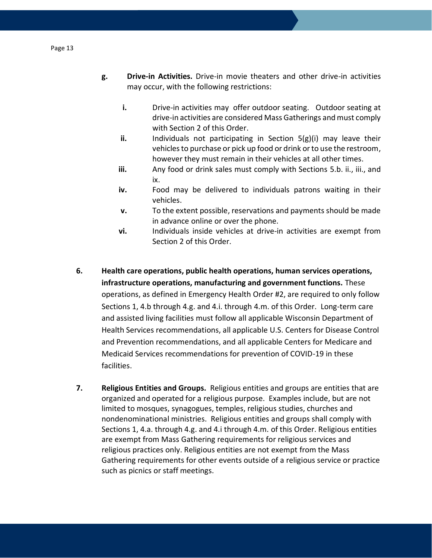- **g. Drive-in Activities.** Drive-in movie theaters and other drive-in activities may occur, with the following restrictions:
	- **i.** Drive-in activities may offer outdoor seating. Outdoor seating at drive-in activities are considered Mass Gatherings and must comply with Section 2 of this Order.
	- **ii.** Individuals not participating in Section 5(g)(i) may leave their vehicles to purchase or pick up food or drink or to use the restroom, however they must remain in their vehicles at all other times.
	- **iii.** Any food or drink sales must comply with Sections 5.b. ii., iii., and ix.
	- **iv.** Food may be delivered to individuals patrons waiting in their vehicles.
	- **v.** To the extent possible, reservations and payments should be made in advance online or over the phone.
	- **vi.** Individuals inside vehicles at drive-in activities are exempt from Section 2 of this Order.
- **6. Health care operations, public health operations, human services operations, infrastructure operations, manufacturing and government functions.** These operations, as defined in Emergency Health Order #2, are required to only follow Sections 1, 4.b through 4.g. and 4.i. through 4.m. of this Order. Long-term care and assisted living facilities must follow all applicable Wisconsin Department of Health Services recommendations, all applicable U.S. Centers for Disease Control and Prevention recommendations, and all applicable Centers for Medicare and Medicaid Services recommendations for prevention of COVID-19 in these facilities.
- **7. Religious Entities and Groups.** Religious entities and groups are entities that are organized and operated for a religious purpose. Examples include, but are not limited to mosques, synagogues, temples, religious studies, churches and nondenominational ministries. Religious entities and groups shall comply with Sections 1, 4.a. through 4.g. and 4.i through 4.m. of this Order. Religious entities are exempt from Mass Gathering requirements for religious services and religious practices only. Religious entities are not exempt from the Mass Gathering requirements for other events outside of a religious service or practice such as picnics or staff meetings.